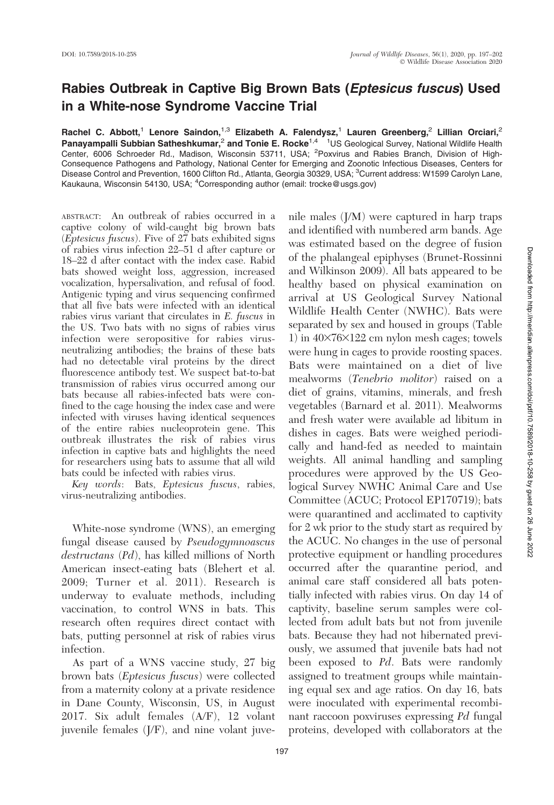## Rabies Outbreak in Captive Big Brown Bats (Eptesicus fuscus) Used in a White-nose Syndrome Vaccine Trial

Rachel C. Abbott,<sup>1</sup> Lenore Saindon,<sup>1,3</sup> Elizabeth A. Falendysz,<sup>1</sup> Lauren Greenberg,<sup>2</sup> Lillian Orciari,<sup>2</sup> Panayampalli Subbian Satheshkumar,<sup>2</sup> and Tonie E. Rocke<sup>1,4</sup> <sup>1</sup>US Geological Survey, National Wildlife Health Center, 6006 Schroeder Rd., Madison, Wisconsin 53711, USA; <sup>2</sup>Poxvirus and Rabies Branch, Division of High-Consequence Pathogens and Pathology, National Center for Emerging and Zoonotic Infectious Diseases, Centers for Disease Control and Prevention, 1600 Clifton Rd., Atlanta, Georgia 30329, USA; <sup>3</sup>Current address: W1599 Carolyn Lane, Kaukauna, Wisconsin 54130, USA; <sup>4</sup>Corresponding author (email: trocke@usgs.gov)

ABSTRACT: An outbreak of rabies occurred in a captive colony of wild-caught big brown bats (*Eptesicus fuscus*). Five of  $27$  bats exhibited signs of rabies virus infection 22–51 d after capture or 18–22 d after contact with the index case. Rabid bats showed weight loss, aggression, increased vocalization, hypersalivation, and refusal of food. Antigenic typing and virus sequencing confirmed that all five bats were infected with an identical rabies virus variant that circulates in E. fuscus in the US. Two bats with no signs of rabies virus infection were seropositive for rabies virusneutralizing antibodies; the brains of these bats had no detectable viral proteins by the direct fluorescence antibody test. We suspect bat-to-bat transmission of rabies virus occurred among our bats because all rabies-infected bats were confined to the cage housing the index case and were infected with viruses having identical sequences of the entire rabies nucleoprotein gene. This outbreak illustrates the risk of rabies virus infection in captive bats and highlights the need for researchers using bats to assume that all wild bats could be infected with rabies virus.

Key words: Bats, Eptesicus fuscus, rabies, virus-neutralizing antibodies.

White-nose syndrome (WNS), an emerging fungal disease caused by Pseudogymnoascus destructans (Pd), has killed millions of North American insect-eating bats (Blehert et al. 2009; Turner et al. 2011). Research is underway to evaluate methods, including vaccination, to control WNS in bats. This research often requires direct contact with bats, putting personnel at risk of rabies virus infection.

As part of a WNS vaccine study, 27 big brown bats (Eptesicus fuscus) were collected from a maternity colony at a private residence in Dane County, Wisconsin, US, in August 2017. Six adult females (A/F), 12 volant juvenile females (J/F), and nine volant juvenile males (J/M) were captured in harp traps and identified with numbered arm bands. Age was estimated based on the degree of fusion of the phalangeal epiphyses (Brunet-Rossinni and Wilkinson 2009). All bats appeared to be healthy based on physical examination on arrival at US Geological Survey National Wildlife Health Center (NWHC). Bats were separated by sex and housed in groups (Table 1) in  $40\times76\times122$  cm nylon mesh cages; towels were hung in cages to provide roosting spaces. Bats were maintained on a diet of live mealworms (Tenebrio molitor) raised on a diet of grains, vitamins, minerals, and fresh vegetables (Barnard et al. 2011). Mealworms and fresh water were available ad libitum in dishes in cages. Bats were weighed periodically and hand-fed as needed to maintain weights. All animal handling and sampling procedures were approved by the US Geological Survey NWHC Animal Care and Use Committee (ACUC; Protocol EP170719); bats were quarantined and acclimated to captivity for 2 wk prior to the study start as required by the ACUC. No changes in the use of personal protective equipment or handling procedures occurred after the quarantine period, and animal care staff considered all bats potentially infected with rabies virus. On day 14 of captivity, baseline serum samples were collected from adult bats but not from juvenile bats. Because they had not hibernated previously, we assumed that juvenile bats had not been exposed to Pd. Bats were randomly assigned to treatment groups while maintaining equal sex and age ratios. On day 16, bats were inoculated with experimental recombinant raccoon poxviruses expressing Pd fungal proteins, developed with collaborators at the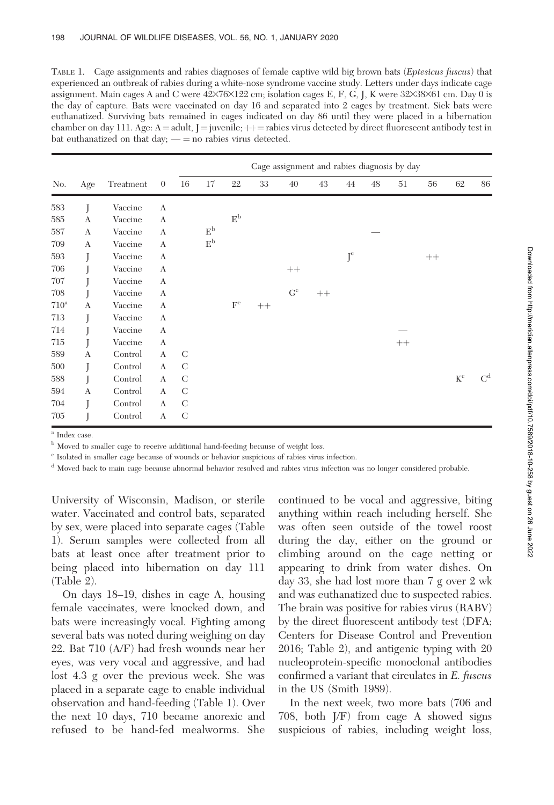TABLE 1. Cage assignments and rabies diagnoses of female captive wild big brown bats (Eptesicus fuscus) that experienced an outbreak of rabies during a white-nose syndrome vaccine study. Letters under days indicate cage assignment. Main cages A and C were  $42\times76\times122$  cm; isolation cages E, F, G, J, K were  $32\times38\times61$  cm. Day 0 is the day of capture. Bats were vaccinated on day 16 and separated into 2 cages by treatment. Sick bats were euthanatized. Surviving bats remained in cages indicated on day 86 until they were placed in a hibernation chamber on day 111. Age:  $A =$ adult, J = juvenile;  $++$  = rabies virus detected by direct fluorescent antibody test in bat euthanatized on that day;  $\_\_$  no rabies virus detected.

|         |                  |           |                |               | Cage assignment and rabies diagnosis by day |                           |      |       |      |                   |    |      |      |             |                |
|---------|------------------|-----------|----------------|---------------|---------------------------------------------|---------------------------|------|-------|------|-------------------|----|------|------|-------------|----------------|
| No.     | Age              | Treatment | $\overline{0}$ | 16            | 17                                          | 22                        | 33   | 40    | 43   | 44                | 48 | 51   | 56   | 62          | 86             |
| 583     |                  | Vaccine   | $\mathbf{A}$   |               |                                             |                           |      |       |      |                   |    |      |      |             |                |
| 585     | $\mathbf{A}$     | Vaccine   | A              |               |                                             | $\mathrm{E}^{\mathrm{b}}$ |      |       |      |                   |    |      |      |             |                |
| 587     | A                | Vaccine   | A              |               | E <sub>p</sub>                              |                           |      |       |      |                   |    |      |      |             |                |
| 709     | $\boldsymbol{A}$ | Vaccine   | A              |               | E <sub>p</sub>                              |                           |      |       |      |                   |    |      |      |             |                |
| 593     | Ī                | Vaccine   | A              |               |                                             |                           |      |       |      | ${\rm J}^{\rm c}$ |    |      | $++$ |             |                |
| 706     |                  | Vaccine   | A              |               |                                             |                           |      | $++$  |      |                   |    |      |      |             |                |
| 707     |                  | Vaccine   | A              |               |                                             |                           |      |       |      |                   |    |      |      |             |                |
| 708     |                  | Vaccine   | A              |               |                                             |                           |      | $G^c$ | $++$ |                   |    |      |      |             |                |
| $710^a$ | A                | Vaccine   | A              |               |                                             | $\mathbf{F}^\mathrm{c}$   | $++$ |       |      |                   |    |      |      |             |                |
| 713     |                  | Vaccine   | A              |               |                                             |                           |      |       |      |                   |    |      |      |             |                |
| 714     | Ī                | Vaccine   | A              |               |                                             |                           |      |       |      |                   |    |      |      |             |                |
| 715     | J                | Vaccine   | A              |               |                                             |                           |      |       |      |                   |    | $++$ |      |             |                |
| 589     | A                | Control   | $\mathbf{A}$   | $\mathcal{C}$ |                                             |                           |      |       |      |                   |    |      |      |             |                |
| 500     | Ī                | Control   | $\mathbf{A}$   | $\mathcal{C}$ |                                             |                           |      |       |      |                   |    |      |      |             |                |
| 588     | J                | Control   | A              | $\mathcal{C}$ |                                             |                           |      |       |      |                   |    |      |      | $K^{\rm c}$ | C <sup>d</sup> |
| 594     | A                | Control   | A              | $\mathcal{C}$ |                                             |                           |      |       |      |                   |    |      |      |             |                |
| 704     |                  | Control   | $\mathbf{A}$   | C             |                                             |                           |      |       |      |                   |    |      |      |             |                |
| 705     |                  | Control   | A              | $\mathcal{C}$ |                                             |                           |      |       |      |                   |    |      |      |             |                |

<sup>a</sup> Index case.

<sup>b</sup> Moved to smaller cage to receive additional hand-feeding because of weight loss.

<sup>c</sup> Isolated in smaller cage because of wounds or behavior suspicious of rabies virus infection.

<sup>d</sup> Moved back to main cage because abnormal behavior resolved and rabies virus infection was no longer considered probable.

University of Wisconsin, Madison, or sterile water. Vaccinated and control bats, separated by sex, were placed into separate cages (Table 1). Serum samples were collected from all bats at least once after treatment prior to being placed into hibernation on day 111 (Table 2).

On days 18–19, dishes in cage A, housing female vaccinates, were knocked down, and bats were increasingly vocal. Fighting among several bats was noted during weighing on day 22. Bat 710 (A/F) had fresh wounds near her eyes, was very vocal and aggressive, and had lost 4.3 g over the previous week. She was placed in a separate cage to enable individual observation and hand-feeding (Table 1). Over the next 10 days, 710 became anorexic and refused to be hand-fed mealworms. She continued to be vocal and aggressive, biting anything within reach including herself. She was often seen outside of the towel roost during the day, either on the ground or climbing around on the cage netting or appearing to drink from water dishes. On day 33, she had lost more than 7 g over 2 wk and was euthanatized due to suspected rabies. The brain was positive for rabies virus (RABV) by the direct fluorescent antibody test (DFA; Centers for Disease Control and Prevention 2016; Table 2), and antigenic typing with 20 nucleoprotein-specific monoclonal antibodies confirmed a variant that circulates in E. fuscus in the US (Smith 1989).

In the next week, two more bats (706 and 708, both J/F) from cage A showed signs suspicious of rabies, including weight loss,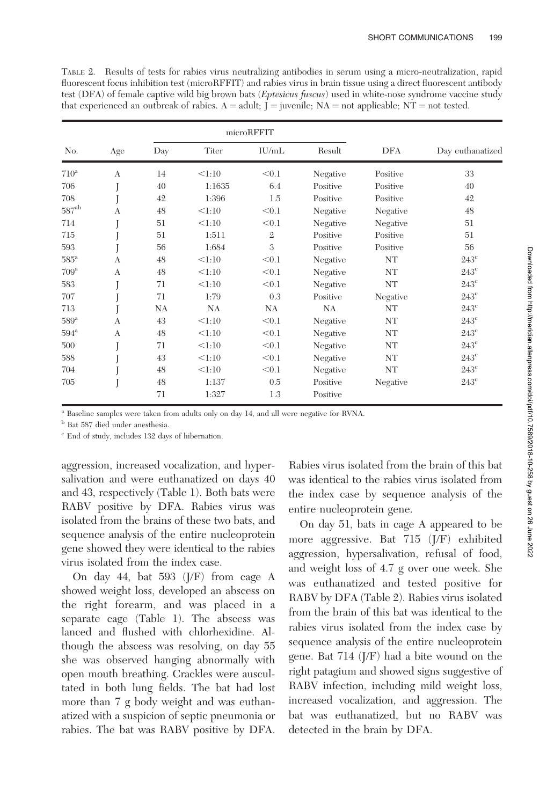TABLE 2. Results of tests for rabies virus neutralizing antibodies in serum using a micro-neutralization, rapid fluorescent focus inhibition test (microRFFIT) and rabies virus in brain tissue using a direct fluorescent antibody test (DFA) of female captive wild big brown bats (Eptesicus fuscus) used in white-nose syndrome vaccine study that experienced an outbreak of rabies.  $A =$  adult;  $\dot{J} =$  juvenile;  $NA =$  not applicable; NT = not tested.

|                    |              |          |                | microRFFIT     |                      |          |                  |  |
|--------------------|--------------|----------|----------------|----------------|----------------------|----------|------------------|--|
| No.                | Age          | Day      | Titer          | IU/mL          | Result               | DFA      | Day euthanatized |  |
| $710^a$            | A            | 14       | < 1:10         | < 0.1          | Negative             | Positive | 33               |  |
| 706                |              | 40       | 1:1635         | 6.4            | Positive             | Positive | 40               |  |
| 708                |              | 42       | 1:396          | 1.5            | Positive             | Positive | 42               |  |
| $587^{\rm ab}$     | A            | 48       | < 1:10         | < 0.1          | Negative             | Negative | 48               |  |
| 714                |              | 51       | < 1:10         | < 0.1          | Negative             | Negative | 51               |  |
| 715                |              | 51       | 1:511          | $\mathfrak{2}$ | Positive             | Positive | 51               |  |
| 593                |              | 56       | 1:684          | 3              | Positive             | Positive | 56               |  |
| $585^{\circ}$      | A            | 48       | < 1:10         | < 0.1          | Negative             | NT       | $243^{\circ}$    |  |
| 709 <sup>a</sup>   | A            | 48       | < 1:10         | < 0.1          | Negative             | NT       | $243^{\circ}$    |  |
| 583                |              | 71       | < 1:10         | < 0.1          | Negative             | NT       | $243^{\circ}$    |  |
| 707                |              | 71       | 1:79           | 0.3            | Positive             | Negative | $243^{\circ}$    |  |
| 713                |              | NA       | NA             | NA             | NA                   | NT       | $243^{\circ}$    |  |
| $589^{\rm a}$      | $\mathsf{A}$ | 43       | < 1:10         | < 0.1          | Negative             | NT       | $243^{\circ}$    |  |
| $594^{\mathrm{a}}$ | A            | 48       | < 1:10         | < 0.1          | Negative             | NT       | $243^{\circ}$    |  |
| 500                |              | 71       | < 1:10         | < 0.1          | Negative             | NT       | $243^{\circ}$    |  |
| 588                |              | 43       | < 1:10         | < 0.1          | Negative             | NT       | $243^{\circ}$    |  |
| 704                |              | 48       | < 1:10         | < 0.1          | Negative             | NT       | $243^{\circ}$    |  |
| 705                |              | 48<br>71 | 1:137<br>1:327 | 0.5<br>1.3     | Positive<br>Positive | Negative | $243^{\circ}$    |  |
|                    |              |          |                |                |                      |          |                  |  |

<sup>a</sup> Baseline samples were taken from adults only on day 14, and all were negative for RVNA.

 $^{\rm b}$  Bat 587 died under anesthesia.

<sup>c</sup> End of study, includes 132 days of hibernation.

aggression, increased vocalization, and hypersalivation and were euthanatized on days 40 and 43, respectively (Table 1). Both bats were RABV positive by DFA. Rabies virus was isolated from the brains of these two bats, and sequence analysis of the entire nucleoprotein gene showed they were identical to the rabies virus isolated from the index case.

On day 44, bat 593 (J/F) from cage A showed weight loss, developed an abscess on the right forearm, and was placed in a separate cage (Table 1). The abscess was lanced and flushed with chlorhexidine. Although the abscess was resolving, on day 55 she was observed hanging abnormally with open mouth breathing. Crackles were auscultated in both lung fields. The bat had lost more than 7 g body weight and was euthanatized with a suspicion of septic pneumonia or rabies. The bat was RABV positive by DFA.

Rabies virus isolated from the brain of this bat was identical to the rabies virus isolated from the index case by sequence analysis of the entire nucleoprotein gene.

On day 51, bats in cage A appeared to be more aggressive. Bat 715 (J/F) exhibited aggression, hypersalivation, refusal of food, and weight loss of 4.7 g over one week. She was euthanatized and tested positive for RABV by DFA (Table 2). Rabies virus isolated from the brain of this bat was identical to the rabies virus isolated from the index case by sequence analysis of the entire nucleoprotein gene. Bat 714 (J/F) had a bite wound on the right patagium and showed signs suggestive of RABV infection, including mild weight loss, increased vocalization, and aggression. The bat was euthanatized, but no RABV was detected in the brain by DFA.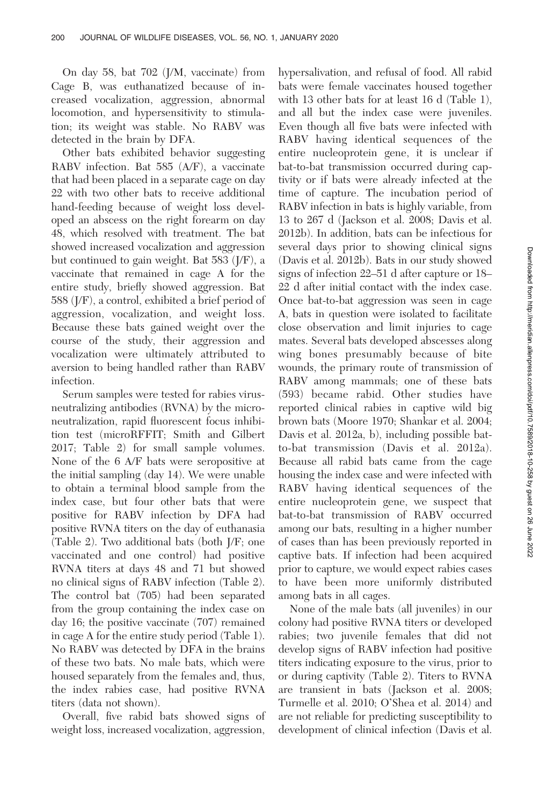On day 58, bat 702 (J/M, vaccinate) from Cage B, was euthanatized because of increased vocalization, aggression, abnormal locomotion, and hypersensitivity to stimulation; its weight was stable. No RABV was detected in the brain by DFA.

Other bats exhibited behavior suggesting RABV infection. Bat 585 (A/F), a vaccinate that had been placed in a separate cage on day 22 with two other bats to receive additional hand-feeding because of weight loss developed an abscess on the right forearm on day 48, which resolved with treatment. The bat showed increased vocalization and aggression but continued to gain weight. Bat 583 (J/F), a vaccinate that remained in cage A for the entire study, briefly showed aggression. Bat 588 (J/F), a control, exhibited a brief period of aggression, vocalization, and weight loss. Because these bats gained weight over the course of the study, their aggression and vocalization were ultimately attributed to aversion to being handled rather than RABV infection.

Serum samples were tested for rabies virusneutralizing antibodies (RVNA) by the microneutralization, rapid fluorescent focus inhibition test (microRFFIT; Smith and Gilbert 2017; Table 2) for small sample volumes. None of the 6 A/F bats were seropositive at the initial sampling (day 14). We were unable to obtain a terminal blood sample from the index case, but four other bats that were positive for RABV infection by DFA had positive RVNA titers on the day of euthanasia (Table 2). Two additional bats (both J/F; one vaccinated and one control) had positive RVNA titers at days 48 and 71 but showed no clinical signs of RABV infection (Table 2). The control bat (705) had been separated from the group containing the index case on day 16; the positive vaccinate (707) remained in cage A for the entire study period (Table 1). No RABV was detected by DFA in the brains of these two bats. No male bats, which were housed separately from the females and, thus, the index rabies case, had positive RVNA titers (data not shown).

Overall, five rabid bats showed signs of weight loss, increased vocalization, aggression, hypersalivation, and refusal of food. All rabid bats were female vaccinates housed together with 13 other bats for at least 16 d (Table 1), and all but the index case were juveniles. Even though all five bats were infected with RABV having identical sequences of the entire nucleoprotein gene, it is unclear if bat-to-bat transmission occurred during captivity or if bats were already infected at the time of capture. The incubation period of RABV infection in bats is highly variable, from 13 to 267 d (Jackson et al. 2008; Davis et al. 2012b). In addition, bats can be infectious for several days prior to showing clinical signs (Davis et al. 2012b). Bats in our study showed signs of infection 22–51 d after capture or 18– 22 d after initial contact with the index case. Once bat-to-bat aggression was seen in cage A, bats in question were isolated to facilitate close observation and limit injuries to cage mates. Several bats developed abscesses along wing bones presumably because of bite wounds, the primary route of transmission of RABV among mammals; one of these bats (593) became rabid. Other studies have reported clinical rabies in captive wild big brown bats (Moore 1970; Shankar et al. 2004; Davis et al. 2012a, b), including possible batto-bat transmission (Davis et al. 2012a). Because all rabid bats came from the cage housing the index case and were infected with RABV having identical sequences of the entire nucleoprotein gene, we suspect that bat-to-bat transmission of RABV occurred among our bats, resulting in a higher number of cases than has been previously reported in captive bats. If infection had been acquired prior to capture, we would expect rabies cases to have been more uniformly distributed among bats in all cages.

None of the male bats (all juveniles) in our colony had positive RVNA titers or developed rabies; two juvenile females that did not develop signs of RABV infection had positive titers indicating exposure to the virus, prior to or during captivity (Table 2). Titers to RVNA are transient in bats (Jackson et al. 2008; Turmelle et al. 2010; O'Shea et al. 2014) and are not reliable for predicting susceptibility to development of clinical infection (Davis et al.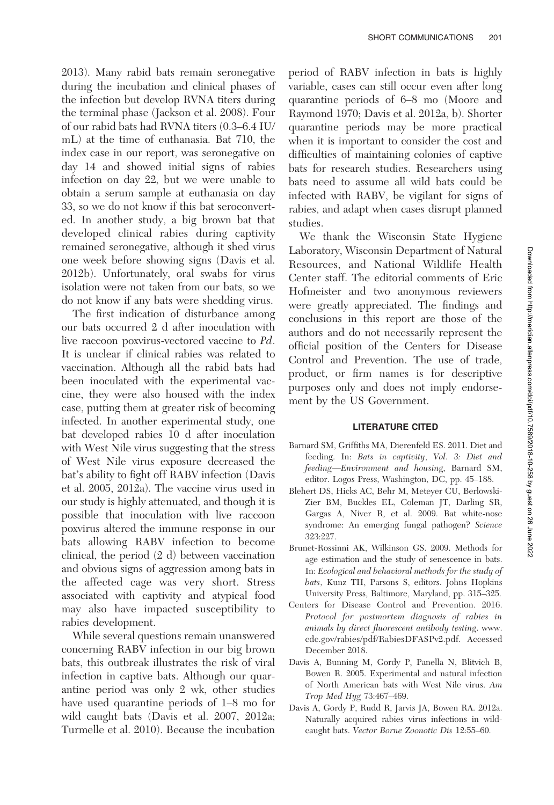2013). Many rabid bats remain seronegative during the incubation and clinical phases of the infection but develop RVNA titers during the terminal phase (Jackson et al. 2008). Four of our rabid bats had RVNA titers (0.3–6.4 IU/ mL) at the time of euthanasia. Bat 710, the index case in our report, was seronegative on day 14 and showed initial signs of rabies infection on day 22, but we were unable to obtain a serum sample at euthanasia on day 33, so we do not know if this bat seroconverted. In another study, a big brown bat that developed clinical rabies during captivity remained seronegative, although it shed virus one week before showing signs (Davis et al. 2012b). Unfortunately, oral swabs for virus isolation were not taken from our bats, so we do not know if any bats were shedding virus.

The first indication of disturbance among our bats occurred 2 d after inoculation with live raccoon poxvirus-vectored vaccine to Pd. It is unclear if clinical rabies was related to vaccination. Although all the rabid bats had been inoculated with the experimental vaccine, they were also housed with the index case, putting them at greater risk of becoming infected. In another experimental study, one bat developed rabies 10 d after inoculation with West Nile virus suggesting that the stress of West Nile virus exposure decreased the bat's ability to fight off RABV infection (Davis et al. 2005, 2012a). The vaccine virus used in our study is highly attenuated, and though it is possible that inoculation with live raccoon poxvirus altered the immune response in our bats allowing RABV infection to become clinical, the period (2 d) between vaccination and obvious signs of aggression among bats in the affected cage was very short. Stress associated with captivity and atypical food may also have impacted susceptibility to rabies development.

While several questions remain unanswered concerning RABV infection in our big brown bats, this outbreak illustrates the risk of viral infection in captive bats. Although our quarantine period was only 2 wk, other studies have used quarantine periods of 1–8 mo for wild caught bats (Davis et al. 2007, 2012a; Turmelle et al. 2010). Because the incubation

period of RABV infection in bats is highly variable, cases can still occur even after long quarantine periods of 6–8 mo (Moore and Raymond 1970; Davis et al. 2012a, b). Shorter quarantine periods may be more practical when it is important to consider the cost and difficulties of maintaining colonies of captive bats for research studies. Researchers using bats need to assume all wild bats could be infected with RABV, be vigilant for signs of rabies, and adapt when cases disrupt planned studies.

We thank the Wisconsin State Hygiene Laboratory, Wisconsin Department of Natural Resources, and National Wildlife Health Center staff. The editorial comments of Eric Hofmeister and two anonymous reviewers were greatly appreciated. The findings and conclusions in this report are those of the authors and do not necessarily represent the official position of the Centers for Disease Control and Prevention. The use of trade, product, or firm names is for descriptive purposes only and does not imply endorsement by the US Government.

## LITERATURE CITED

- Barnard SM, Griffiths MA, Dierenfeld ES. 2011. Diet and feeding. In: Bats in captivity, Vol. 3: Diet and feeding—Environment and housing, Barnard SM, editor. Logos Press, Washington, DC, pp. 45–188.
- Blehert DS, Hicks AC, Behr M, Meteyer CU, Berlowski-Zier BM, Buckles EL, Coleman JT, Darling SR, Gargas A, Niver R, et al. 2009. Bat white-nose syndrome: An emerging fungal pathogen? Science 323:227.
- Brunet-Rossinni AK, Wilkinson GS. 2009. Methods for age estimation and the study of senescence in bats. In: Ecological and behavioral methods for the study of bats, Kunz TH, Parsons S, editors. Johns Hopkins University Press, Baltimore, Maryland, pp. 315–325.
- Centers for Disease Control and Prevention. 2016. Protocol for postmortem diagnosis of rabies in animals by direct fluorescent antibody testing. www. cdc.gov/rabies/pdf/RabiesDFASPv2.pdf. Accessed December 2018.
- Davis A, Bunning M, Gordy P, Panella N, Blitvich B, Bowen R. 2005. Experimental and natural infection of North American bats with West Nile virus. Am Trop Med Hyg 73:467–469.
- Davis A, Gordy P, Rudd R, Jarvis JA, Bowen RA. 2012a. Naturally acquired rabies virus infections in wildcaught bats. Vector Borne Zoonotic Dis 12:55–60.